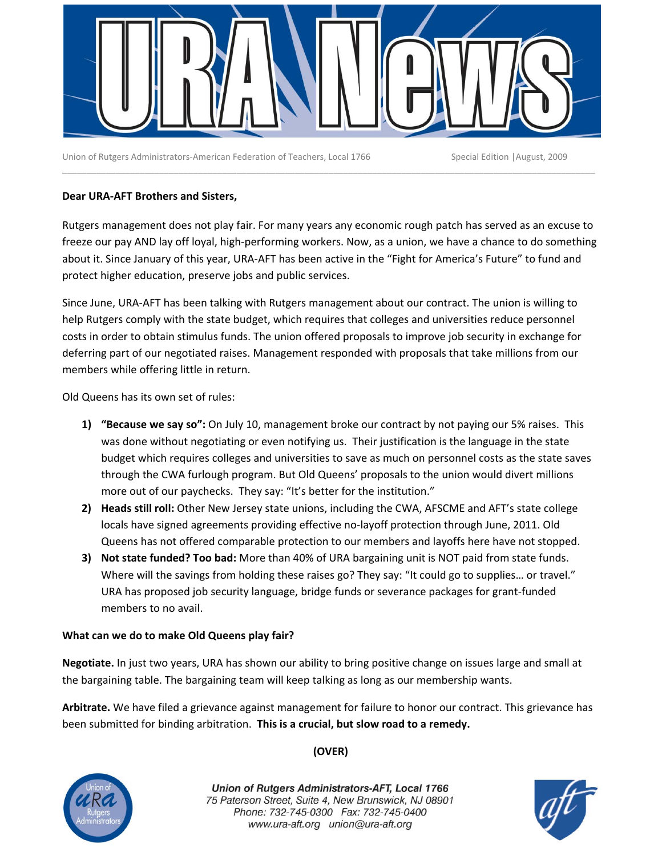

Union of Rutgers Administrators‐American Federation of Teachers, Local 1766 Special Edition |August, 2009

# **Dear URA‐AFT Brothers and Sisters,**

Rutgers management does not play fair. For many years any economic rough patch has served as an excuse to freeze our pay AND lay off loyal, high‐performing workers. Now, as a union, we have a chance to do something about it. Since January of this year, URA‐AFT has been active in the "Fight for America's Future" to fund and protect higher education, preserve jobs and public services.

\_\_\_\_\_\_\_\_\_\_\_\_\_\_\_\_\_\_\_\_\_\_\_\_\_\_\_\_\_\_\_\_\_\_\_\_\_\_\_\_\_\_\_\_\_\_\_\_\_\_\_\_\_\_\_\_\_\_\_\_\_\_\_\_\_\_\_\_\_\_\_\_\_\_\_\_\_\_\_\_\_\_\_\_\_\_\_\_\_\_\_\_\_\_\_\_\_\_\_\_\_\_\_\_\_\_\_\_\_\_

Since June, URA‐AFT has been talking with Rutgers management about our contract. The union is willing to help Rutgers comply with the state budget, which requires that colleges and universities reduce personnel costs in order to obtain stimulus funds. The union offered proposals to improve job security in exchange for deferring part of our negotiated raises. Management responded with proposals that take millions from our members while offering little in return.

Old Queens has its own set of rules:

- **1) "Because we say so":** On July 10, management broke our contract by not paying our 5% raises. This was done without negotiating or even notifying us. Their justification is the language in the state budget which requires colleges and universities to save as much on personnel costs as the state saves through the CWA furlough program. But Old Queens' proposals to the union would divert millions more out of our paychecks. They say: "It's better for the institution."
- **2) Heads still roll:** Other New Jersey state unions, including the CWA, AFSCME and AFT's state college locals have signed agreements providing effective no‐layoff protection through June, 2011. Old Queens has not offered comparable protection to our members and layoffs here have not stopped.
- **3) Not state funded? Too bad:** More than 40% of URA bargaining unit is NOT paid from state funds. Where will the savings from holding these raises go? They say: "It could go to supplies… or travel." URA has proposed job security language, bridge funds or severance packages for grant‐funded members to no avail.

## **What can we do to make Old Queens play fair?**

**Negotiate.** In just two years, URA has shown our ability to bring positive change on issues large and small at the bargaining table. The bargaining team will keep talking as long as our membership wants.

**Arbitrate.** We have filed a grievance against management for failure to honor our contract. This grievance has been submitted for binding arbitration. **This is a crucial, but slow road to a remedy.**



**(OVER)**

Union of Rutgers Administrators-AFT, Local 1766 75 Paterson Street, Suite 4, New Brunswick, NJ 08901 Phone: 732-745-0300 Fax: 732-745-0400 www.ura-aft.org union@ura-aft.org